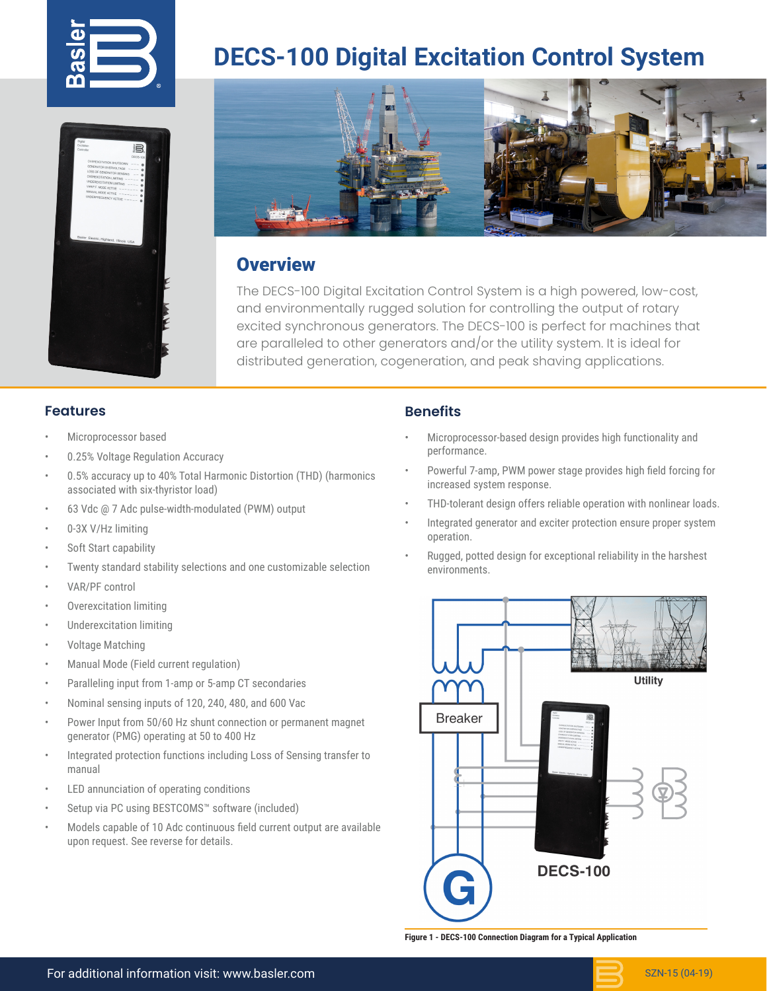

## **DECS-100 Digital Excitation Control System**





## **Overview**

The DECS-100 Digital Excitation Control System is a high powered, low-cost, and environmentally rugged solution for controlling the output of rotary excited synchronous generators. The DECS-100 is perfect for machines that are paralleled to other generators and/or the utility system. It is ideal for distributed generation, cogeneration, and peak shaving applications.

## **Features**

- Microprocessor based
- 0.25% Voltage Regulation Accuracy
- 0.5% accuracy up to 40% Total Harmonic Distortion (THD) (harmonics associated with six-thyristor load)
- 63 Vdc @ 7 Adc pulse-width-modulated (PWM) output
- 0-3X V/Hz limiting
- Soft Start capability
- Twenty standard stability selections and one customizable selection
- VAR/PF control
- Overexcitation limiting
- Underexcitation limiting
- Voltage Matching
- Manual Mode (Field current regulation)
- Paralleling input from 1-amp or 5-amp CT secondaries
- Nominal sensing inputs of 120, 240, 480, and 600 Vac
- Power Input from 50/60 Hz shunt connection or permanent magnet generator (PMG) operating at 50 to 400 Hz
- Integrated protection functions including Loss of Sensing transfer to manual
- LED annunciation of operating conditions
- Setup via PC using BESTCOMS™ software (included)
- Models capable of 10 Adc continuous field current output are available upon request. See reverse for details.

## **Benefits**

- Microprocessor-based design provides high functionality and performance.
- Powerful 7-amp, PWM power stage provides high field forcing for increased system response.
- THD-tolerant design offers reliable operation with nonlinear loads.
- Integrated generator and exciter protection ensure proper system operation.
- Rugged, potted design for exceptional reliability in the harshest environments.



**Figure 1 - DECS-100 Connection Diagram for a Typical Application**